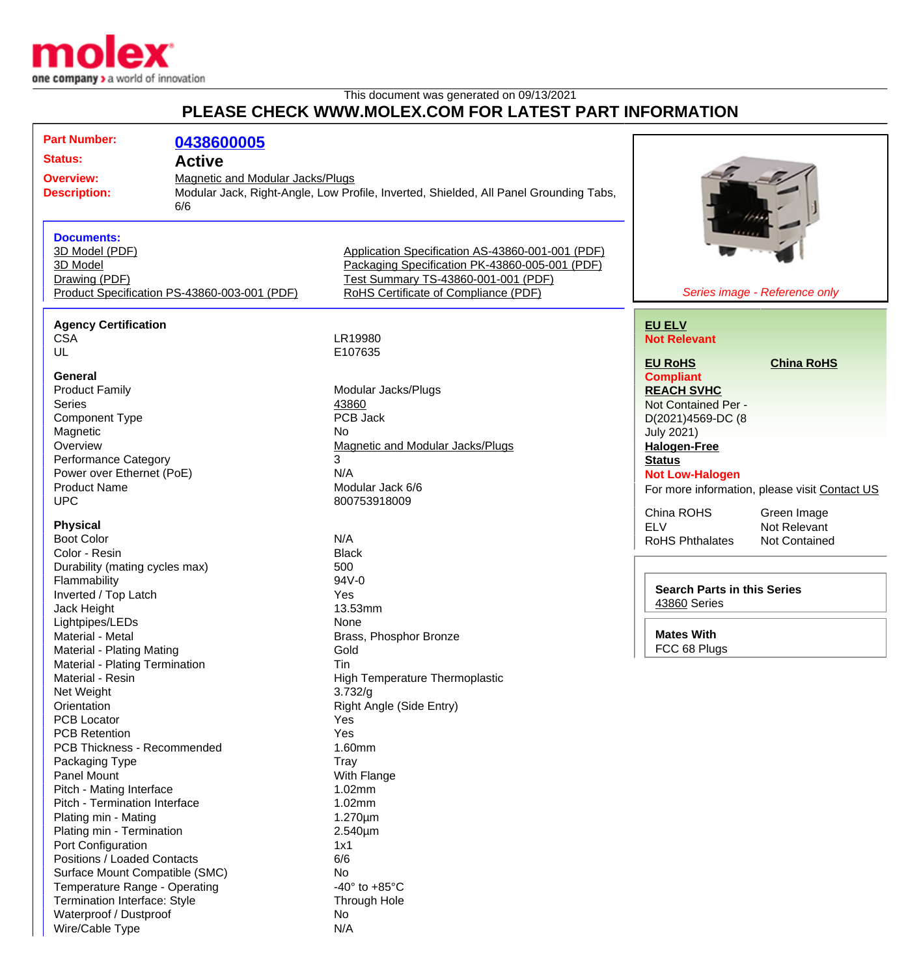

## This document was generated on 09/13/2021 **PLEASE CHECK WWW.MOLEX.COM FOR LATEST PART INFORMATION**

| <b>Part Number:</b>                          | 0438600005                       |                                                                                       |                                               |
|----------------------------------------------|----------------------------------|---------------------------------------------------------------------------------------|-----------------------------------------------|
| <b>Status:</b>                               | <b>Active</b>                    |                                                                                       |                                               |
|                                              |                                  |                                                                                       |                                               |
| <b>Overview:</b>                             | Magnetic and Modular Jacks/Plugs |                                                                                       |                                               |
| <b>Description:</b>                          |                                  | Modular Jack, Right-Angle, Low Profile, Inverted, Shielded, All Panel Grounding Tabs, |                                               |
|                                              | 6/6                              |                                                                                       |                                               |
| <b>Documents:</b>                            |                                  |                                                                                       |                                               |
| 3D Model (PDF)                               |                                  | Application Specification AS-43860-001-001 (PDF)                                      |                                               |
| 3D Model                                     |                                  | Packaging Specification PK-43860-005-001 (PDF)                                        |                                               |
| Drawing (PDF)                                |                                  | Test Summary TS-43860-001-001 (PDF)                                                   |                                               |
| Product Specification PS-43860-003-001 (PDF) |                                  | RoHS Certificate of Compliance (PDF)                                                  | Series image - Reference only                 |
|                                              |                                  |                                                                                       |                                               |
| <b>Agency Certification</b>                  |                                  |                                                                                       | <b>EU ELV</b>                                 |
| <b>CSA</b>                                   |                                  | LR19980                                                                               | <b>Not Relevant</b>                           |
| UL                                           |                                  | E107635                                                                               |                                               |
|                                              |                                  |                                                                                       | <b>EU RoHS</b><br><b>China RoHS</b>           |
| General                                      |                                  |                                                                                       | <b>Compliant</b>                              |
| <b>Product Family</b>                        |                                  | Modular Jacks/Plugs                                                                   | <b>REACH SVHC</b>                             |
| <b>Series</b>                                |                                  | 43860                                                                                 | Not Contained Per -                           |
| Component Type                               |                                  | PCB Jack                                                                              | D(2021)4569-DC (8                             |
| Magnetic                                     |                                  | <b>No</b>                                                                             | <b>July 2021)</b>                             |
| Overview                                     |                                  | <b>Magnetic and Modular Jacks/Plugs</b>                                               | <b>Halogen-Free</b>                           |
| Performance Category                         |                                  | 3                                                                                     | <b>Status</b>                                 |
| Power over Ethernet (PoE)                    |                                  | N/A                                                                                   | <b>Not Low-Halogen</b>                        |
| <b>Product Name</b>                          |                                  | Modular Jack 6/6                                                                      | For more information, please visit Contact US |
| <b>UPC</b>                                   |                                  | 800753918009                                                                          |                                               |
|                                              |                                  |                                                                                       | China ROHS<br>Green Image                     |
| <b>Physical</b>                              |                                  |                                                                                       | <b>ELV</b><br>Not Relevant                    |
| <b>Boot Color</b>                            |                                  | N/A                                                                                   | <b>RoHS Phthalates</b><br>Not Contained       |
| Color - Resin                                |                                  | <b>Black</b>                                                                          |                                               |
| Durability (mating cycles max)               |                                  | 500                                                                                   |                                               |
| Flammability                                 |                                  | 94V-0                                                                                 |                                               |
| Inverted / Top Latch                         |                                  | Yes                                                                                   | <b>Search Parts in this Series</b>            |
| Jack Height                                  |                                  | 13.53mm                                                                               | 43860 Series                                  |
| Lightpipes/LEDs                              |                                  | None                                                                                  |                                               |
| Material - Metal                             |                                  | Brass, Phosphor Bronze                                                                | <b>Mates With</b>                             |
| Material - Plating Mating                    |                                  | Gold                                                                                  | FCC 68 Plugs                                  |
| Material - Plating Termination               |                                  | Tin                                                                                   |                                               |
| Material - Resin                             |                                  | <b>High Temperature Thermoplastic</b>                                                 |                                               |
| Net Weight                                   |                                  | 3.732/g                                                                               |                                               |
| Orientation                                  |                                  | Right Angle (Side Entry)                                                              |                                               |
| <b>PCB Locator</b>                           |                                  | Yes                                                                                   |                                               |
| <b>PCB Retention</b>                         |                                  | Yes                                                                                   |                                               |
|                                              |                                  | 1.60mm                                                                                |                                               |
| PCB Thickness - Recommended                  |                                  |                                                                                       |                                               |
| Packaging Type                               |                                  | Tray                                                                                  |                                               |
| Panel Mount                                  |                                  | With Flange                                                                           |                                               |
| Pitch - Mating Interface                     |                                  | 1.02mm                                                                                |                                               |
| Pitch - Termination Interface                |                                  | 1.02mm                                                                                |                                               |
| Plating min - Mating                         |                                  | 1.270µm                                                                               |                                               |
| Plating min - Termination                    |                                  | 2.540µm                                                                               |                                               |
| Port Configuration                           |                                  | 1x1                                                                                   |                                               |
| Positions / Loaded Contacts                  |                                  | 6/6                                                                                   |                                               |
| Surface Mount Compatible (SMC)               |                                  | No.                                                                                   |                                               |
| Temperature Range - Operating                |                                  | -40 $\degree$ to +85 $\degree$ C                                                      |                                               |
| Termination Interface: Style                 |                                  | Through Hole                                                                          |                                               |
| Waterproof / Dustproof                       |                                  | No                                                                                    |                                               |
| Wire/Cable Type                              |                                  | N/A                                                                                   |                                               |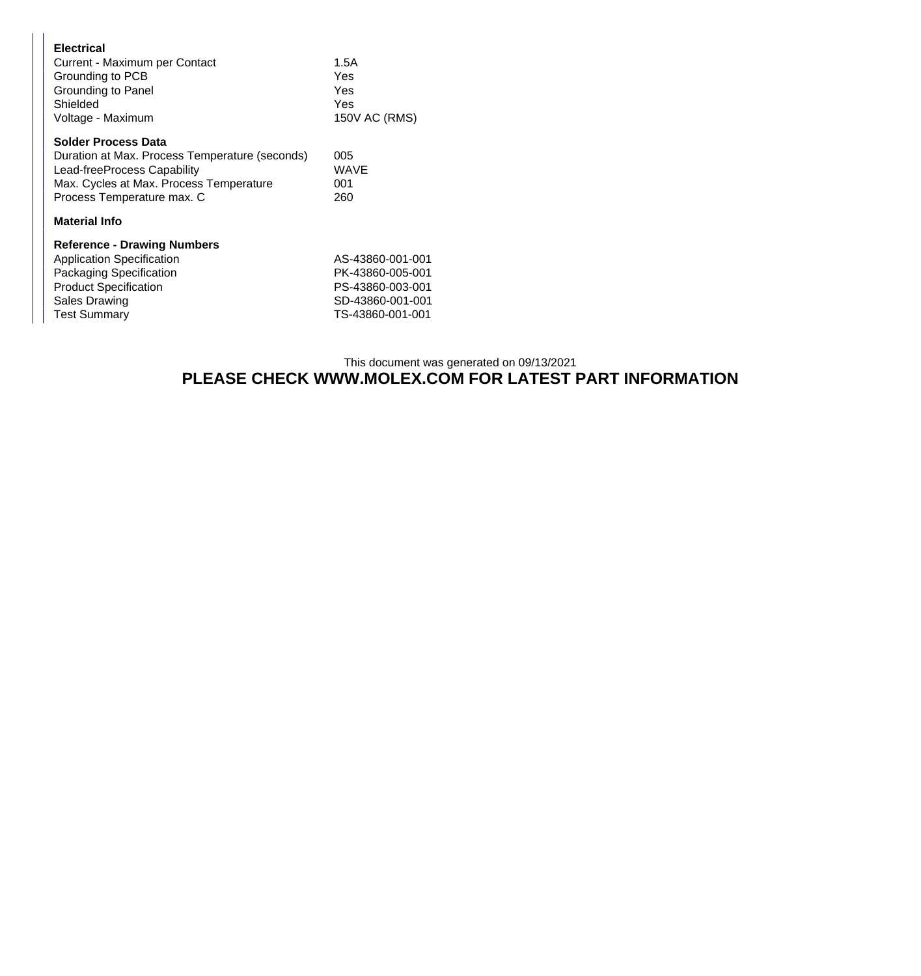| <b>Electrical</b><br>Current - Maximum per Contact<br>Grounding to PCB<br>Grounding to Panel<br>Shielded<br>Voltage - Maximum                                                        | 1.5A<br>Yes<br>Yes<br>Yes<br>150V AC (RMS) |
|--------------------------------------------------------------------------------------------------------------------------------------------------------------------------------------|--------------------------------------------|
| <b>Solder Process Data</b><br>Duration at Max. Process Temperature (seconds)<br>Lead-freeProcess Capability<br>Max. Cycles at Max. Process Temperature<br>Process Temperature max. C | 005<br>WAVE<br>001<br>260                  |
| <b>Material Info</b>                                                                                                                                                                 |                                            |
| <b>Reference - Drawing Numbers</b>                                                                                                                                                   |                                            |

| <b>Application Specification</b> | AS-43860-001-001 |
|----------------------------------|------------------|
| <b>Packaging Specification</b>   | PK-43860-005-001 |
| <b>Product Specification</b>     | PS-43860-003-001 |
| Sales Drawing                    | SD-43860-001-001 |
| <b>Test Summary</b>              | TS-43860-001-001 |
|                                  |                  |

## This document was generated on 09/13/2021 **PLEASE CHECK WWW.MOLEX.COM FOR LATEST PART INFORMATION**